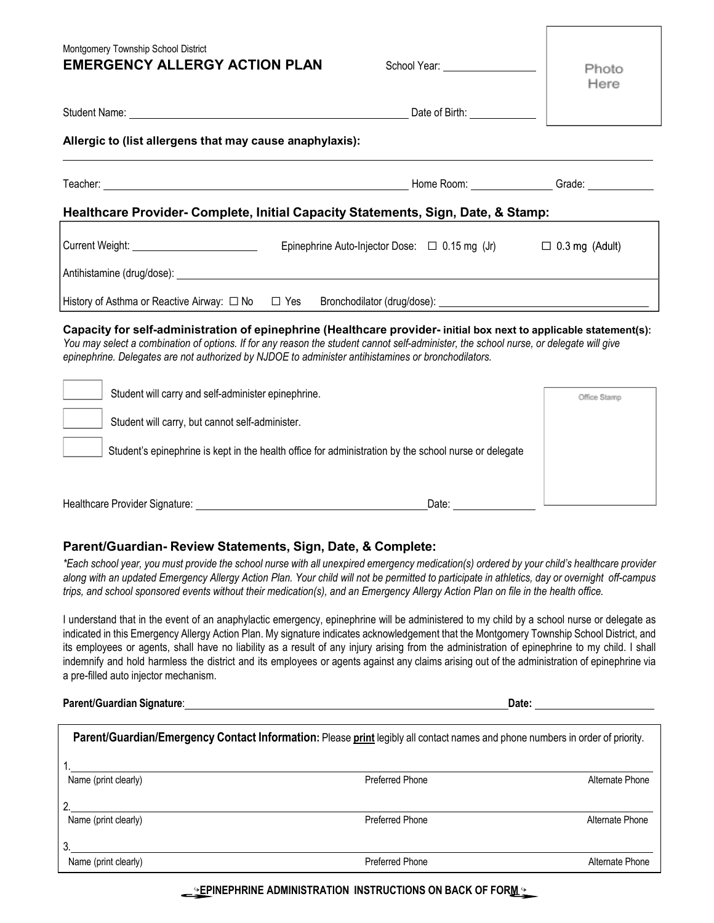| Montgomery Township School District<br><b>EMERGENCY ALLERGY ACTION PLAN</b>                                                                                                                                                                                                                                                                                         | School Year: ____________________                                         | Photo<br>Here |  |
|---------------------------------------------------------------------------------------------------------------------------------------------------------------------------------------------------------------------------------------------------------------------------------------------------------------------------------------------------------------------|---------------------------------------------------------------------------|---------------|--|
|                                                                                                                                                                                                                                                                                                                                                                     |                                                                           |               |  |
| Allergic to (list allergens that may cause anaphylaxis):                                                                                                                                                                                                                                                                                                            |                                                                           |               |  |
|                                                                                                                                                                                                                                                                                                                                                                     |                                                                           |               |  |
| Healthcare Provider- Complete, Initial Capacity Statements, Sign, Date, & Stamp:                                                                                                                                                                                                                                                                                    |                                                                           |               |  |
|                                                                                                                                                                                                                                                                                                                                                                     | Epinephrine Auto-Injector Dose: $\Box$ 0.15 mg (Jr) $\Box$ 0.3 mg (Adult) |               |  |
|                                                                                                                                                                                                                                                                                                                                                                     |                                                                           |               |  |
| History of Asthma or Reactive Airway: □ No □ Yes Bronchodilator (drug/dose): ____________________________                                                                                                                                                                                                                                                           |                                                                           |               |  |
| Capacity for self-administration of epinephrine (Healthcare provider- initial box next to applicable statement(s):<br>You may select a combination of options. If for any reason the student cannot self-administer, the school nurse, or delegate will give<br>epinephrine. Delegates are not authorized by NJDOE to administer antihistamines or bronchodilators. |                                                                           |               |  |
| Student will carry and self-administer epinephrine.                                                                                                                                                                                                                                                                                                                 |                                                                           | Office Stamp  |  |
| Student will carry, but cannot self-administer.                                                                                                                                                                                                                                                                                                                     |                                                                           |               |  |

Student's epinephrine is kept in the health office for administration by the school nurse or delegate

Healthcare Provider Signature: Date: Date: Date: Date: Date: Date: Date: Date: Date: Date: Date: Date: Date: Date: Date: Date: Date: Date: Date: Date: Date: Date: Date: Date: Date: Date: Date: Date: Date: Date: Date: Date:

## **Parent/Guardian- Review Statements, Sign, Date, & Complete:**

*\*Each school year, you must provide the school nurse with all unexpired emergency medication(s) ordered by your child's healthcare provider along with an updated Emergency Allergy Action Plan. Your child will not be permitted to participate in athletics, day or overnight off-campus* trips, and school sponsored events without their medication(s), and an Emergency Allergy Action Plan on file in the health office.

I understand that in the event of an anaphylactic emergency, epinephrine will be administered to my child by a school nurse or delegate as indicated in this Emergency Allergy Action Plan. My signature indicates acknowledgement that the Montgomery Township School District, and its employees or agents, shall have no liability as a result of any injury arising from the administration of epinephrine to my child. I shall indemnify and hold harmless the district and its employees or agents against any claims arising out of the administration of epinephrine via a pre-filled auto injector mechanism.

**Parent/Guardian Signature**: **Date:** 

| Parent/Guardian/Emergency Contact Information: Please print legibly all contact names and phone numbers in order of priority. |                        |                 |  |
|-------------------------------------------------------------------------------------------------------------------------------|------------------------|-----------------|--|
|                                                                                                                               |                        |                 |  |
| Name (print clearly)                                                                                                          | <b>Preferred Phone</b> | Alternate Phone |  |
|                                                                                                                               |                        |                 |  |
| Name (print clearly)                                                                                                          | <b>Preferred Phone</b> | Alternate Phone |  |
|                                                                                                                               |                        |                 |  |
| Name (print clearly)                                                                                                          | <b>Preferred Phone</b> | Alternate Phone |  |

↪**EPINEPHRINE ADMINISTRATION INSTRUCTIONS ON BACK OF FORM** ↪